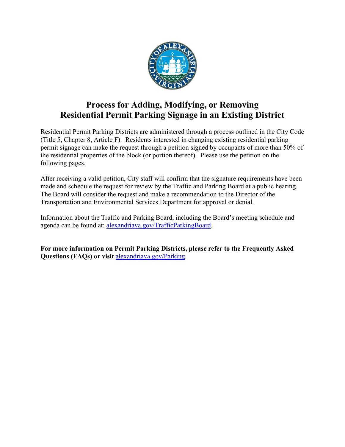

# **Process for Adding, Modifying, or Removing Residential Permit Parking Signage in an Existing District**

Residential Permit Parking Districts are administered through a process outlined in the City Code (Title 5, Chapter 8, Article F). Residents interested in changing existing residential parking permit signage can make the request through a petition signed by occupants of more than 50% of the residential properties of the block (or portion thereof). Please use the petition on the following pages.

After receiving a valid petition, City staff will confirm that the signature requirements have been made and schedule the request for review by the Traffic and Parking Board at a public hearing. The Board will consider the request and make a recommendation to the Director of the Transportation and Environmental Services Department for approval or denial.

Information about the Traffic and Parking Board, including the Board's meeting schedule and agenda can be found at: [alexandriava.gov/TrafficParkingBoard.](http://www.alexandriava.gov/TrafficParkingBoard)

**For more information on Permit Parking Districts, please refer to the Frequently Asked Questions (FAQs) or visit** [alexandriava.gov/Parking.](https://www.alexandriava.gov/finance/info/default.aspx?id=1818)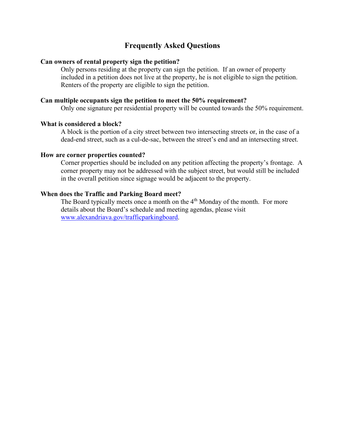# **Frequently Asked Questions**

### **Can owners of rental property sign the petition?**

Only persons residing at the property can sign the petition. If an owner of property included in a petition does not live at the property, he is not eligible to sign the petition. Renters of the property are eligible to sign the petition.

## **Can multiple occupants sign the petition to meet the 50% requirement?**

Only one signature per residential property will be counted towards the 50% requirement.

#### **What is considered a block?**

A block is the portion of a city street between two intersecting streets or, in the case of a dead-end street, such as a cul-de-sac, between the street's end and an intersecting street.

#### **How are corner properties counted?**

Corner properties should be included on any petition affecting the property's frontage. A corner property may not be addressed with the subject street, but would still be included in the overall petition since signage would be adjacent to the property.

### **When does the Traffic and Parking Board meet?**

The Board typically meets once a month on the  $4<sup>th</sup>$  Monday of the month. For more details about the Board's schedule and meeting agendas, please visit [www.alexandriava.gov/trafficparkingboard.](http://www.alexandriava.gov/trafficparkingboard)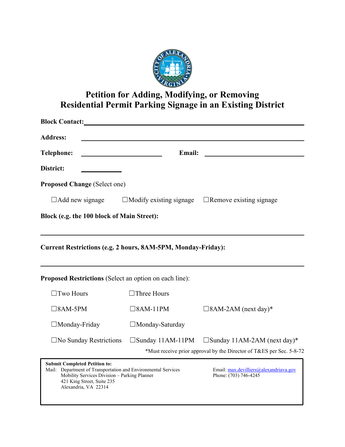

# **Petition for Adding, Modifying, or Removing Residential Permit Parking Signage in an Existing District**

| <b>Block Contact:</b>                                                                                                                                                                                       |                                |                                                                 |  |  |  |  |
|-------------------------------------------------------------------------------------------------------------------------------------------------------------------------------------------------------------|--------------------------------|-----------------------------------------------------------------|--|--|--|--|
| <b>Address:</b>                                                                                                                                                                                             |                                |                                                                 |  |  |  |  |
| <b>Telephone:</b>                                                                                                                                                                                           | Email:                         |                                                                 |  |  |  |  |
| District:                                                                                                                                                                                                   |                                |                                                                 |  |  |  |  |
| <b>Proposed Change (Select one)</b>                                                                                                                                                                         |                                |                                                                 |  |  |  |  |
| $\Box$ Add new signage                                                                                                                                                                                      | $\Box$ Modify existing signage | $\Box$ Remove existing signage                                  |  |  |  |  |
| Block (e.g. the 100 block of Main Street):                                                                                                                                                                  |                                |                                                                 |  |  |  |  |
| Current Restrictions (e.g. 2 hours, 8AM-5PM, Monday-Friday):<br><b>Proposed Restrictions</b> (Select an option on each line):                                                                               |                                |                                                                 |  |  |  |  |
| $\Box$ Two Hours                                                                                                                                                                                            | $\Box$ Three Hours             |                                                                 |  |  |  |  |
| $\square$ 8AM-5PM                                                                                                                                                                                           | $\square$ 8AM-11PM             | $\square$ 8AM-2AM (next day)*                                   |  |  |  |  |
| $\Box$ Monday-Friday                                                                                                                                                                                        | $\Box$ Monday-Saturday         |                                                                 |  |  |  |  |
| $\square$ No Sunday Restrictions                                                                                                                                                                            | $\Box$ Sunday 11AM-11PM        | $\Box$ Sunday 11AM-2AM (next day)*                              |  |  |  |  |
| *Must receive prior approval by the Director of T&ES per Sec. 5-8-72                                                                                                                                        |                                |                                                                 |  |  |  |  |
| <b>Submit Completed Petition to:</b><br>Mail: Department of Transportation and Environmental Services<br>Mobility Services Division - Parking Planner<br>421 King Street, Suite 235<br>Alexandria, VA 22314 |                                | Email: max.devilliers@alexandriava.gov<br>Phone: (703) 746-4245 |  |  |  |  |